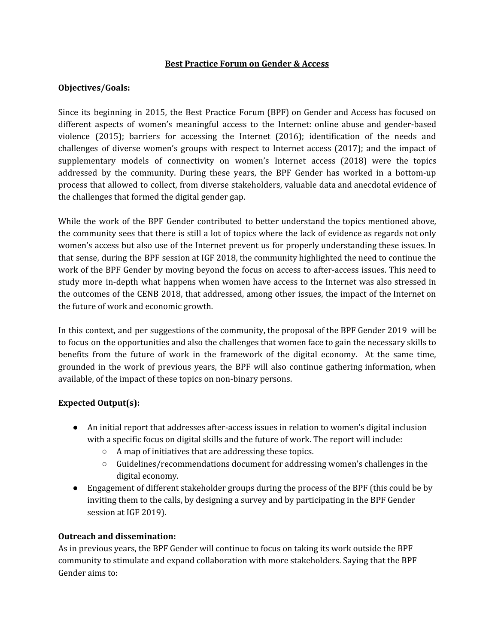#### **Best Practice Forum on Gender & Access**

#### **Objectives/Goals:**

Since its beginning in 2015, the Best Practice Forum (BPF) on Gender and Access has focused on different aspects of women's meaningful access to the Internet: online abuse and gender-based violence (2015); barriers for accessing the Internet (2016); identification of the needs and challenges of diverse women's groups with respect to Internet access (2017); and the impact of supplementary models of connectivity on women's Internet access (2018) were the topics addressed by the community. During these years, the BPF Gender has worked in a bottom-up process that allowed to collect, from diverse stakeholders, valuable data and anecdotal evidence of the challenges that formed the digital gender gap.

While the work of the BPF Gender contributed to better understand the topics mentioned above, the community sees that there is still a lot of topics where the lack of evidence as regards not only women's access but also use of the Internet prevent us for properly understanding these issues. In that sense, during the BPF session at IGF 2018, the community highlighted the need to continue the work of the BPF Gender by moving beyond the focus on access to after-access issues. This need to study more in-depth what happens when women have access to the Internet was also stressed in the outcomes of the CENB 2018, that addressed, among other issues, the impact of the Internet on the future of work and economic growth.

In this context, and per suggestions of the community, the proposal of the BPF Gender 2019 will be to focus on the opportunities and also the challenges that women face to gain the necessary skills to benefits from the future of work in the framework of the digital economy. At the same time, grounded in the work of previous years, the BPF will also continue gathering information, when available, of the impact of these topics on non-binary persons.

## **Expected Output(s):**

- An initial report that addresses after-access issues in relation to women's digital inclusion with a specific focus on digital skills and the future of work. The report will include:
	- A map of initiatives that are addressing these topics.
	- Guidelines/recommendations document for addressing women's challenges in the digital economy.
- Engagement of different stakeholder groups during the process of the BPF (this could be by inviting them to the calls, by designing a survey and by participating in the BPF Gender session at IGF 2019).

## **Outreach and dissemination:**

As in previous years, the BPF Gender will continue to focus on taking its work outside the BPF community to stimulate and expand collaboration with more stakeholders. Saying that the BPF Gender aims to: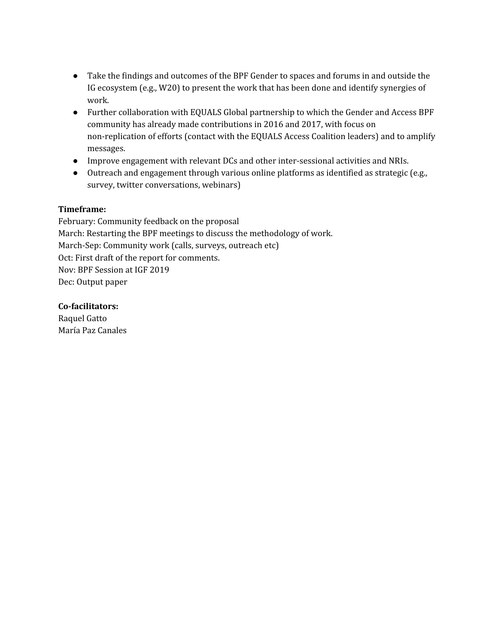- Take the findings and outcomes of the BPF Gender to spaces and forums in and outside the IG ecosystem (e.g., W20) to present the work that has been done and identify synergies of work.
- Further collaboration with EQUALS Global partnership to which the Gender and Access BPF community has already made contributions in 2016 and 2017, with focus on non-replication of efforts (contact with the EQUALS Access Coalition leaders) and to amplify messages.
- Improve engagement with relevant DCs and other inter-sessional activities and NRIs.
- **●** Outreach and engagement through various online platforms as identified as strategic (e.g., survey, twitter conversations, webinars)

# **Timeframe:**

February: Community feedback on the proposal March: Restarting the BPF meetings to discuss the methodology of work. March-Sep: Community work (calls, surveys, outreach etc) Oct: First draft of the report for comments. Nov: BPF Session at IGF 2019 Dec: Output paper

**Co-facilitators:** Raquel Gatto María Paz Canales